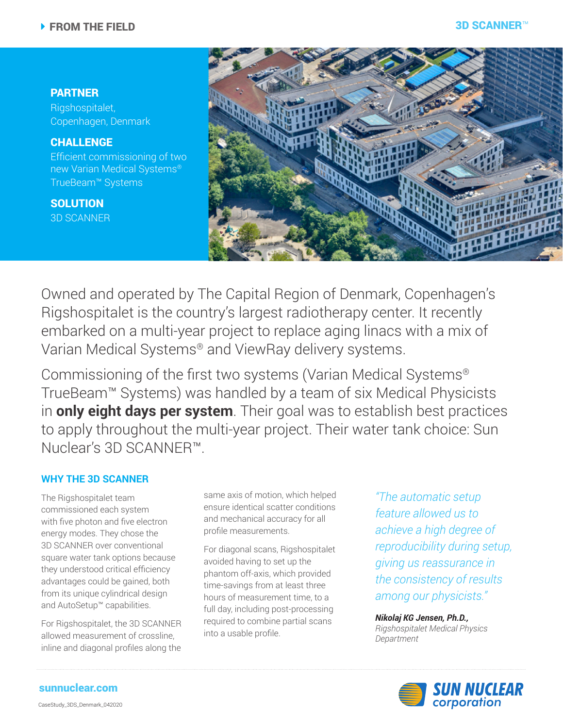# PARTNER

Rigshospitalet, Copenhagen, Denmark

CHALLENGE Efficient commissioning of two new Varian Medical Systems® TrueBeam™ Systems

**SOLUTION** 3D SCANNER



Owned and operated by The Capital Region of Denmark, Copenhagen's Rigshospitalet is the country's largest radiotherapy center. It recently embarked on a multi-year project to replace aging linacs with a mix of Varian Medical Systems® and ViewRay delivery systems.

Commissioning of the first two systems (Varian Medical Systems® TrueBeam™ Systems) was handled by a team of six Medical Physicists in **only eight days per system**. Their goal was to establish best practices to apply throughout the multi-year project. Their water tank choice: Sun Nuclear's 3D SCANNER™.

## **WHY THE 3D SCANNER**

The Rigshospitalet team commissioned each system with five photon and five electron energy modes. They chose the 3D SCANNER over conventional square water tank options because they understood critical efficiency advantages could be gained, both from its unique cylindrical design and AutoSetup™ capabilities.

For Rigshospitalet, the 3D SCANNER allowed measurement of crossline, inline and diagonal profiles along the

same axis of motion, which helped ensure identical scatter conditions and mechanical accuracy for all profile measurements.

For diagonal scans, Rigshospitalet avoided having to set up the phantom off-axis, which provided time-savings from at least three hours of measurement time, to a full day, including post-processing required to combine partial scans into a usable profile.

*"The automatic setup feature allowed us to achieve a high degree of reproducibility during setup, giving us reassurance in the consistency of results among our physicists."*

*Nikolaj KG Jensen, Ph.D., Rigshospitalet Medical Physics Department*